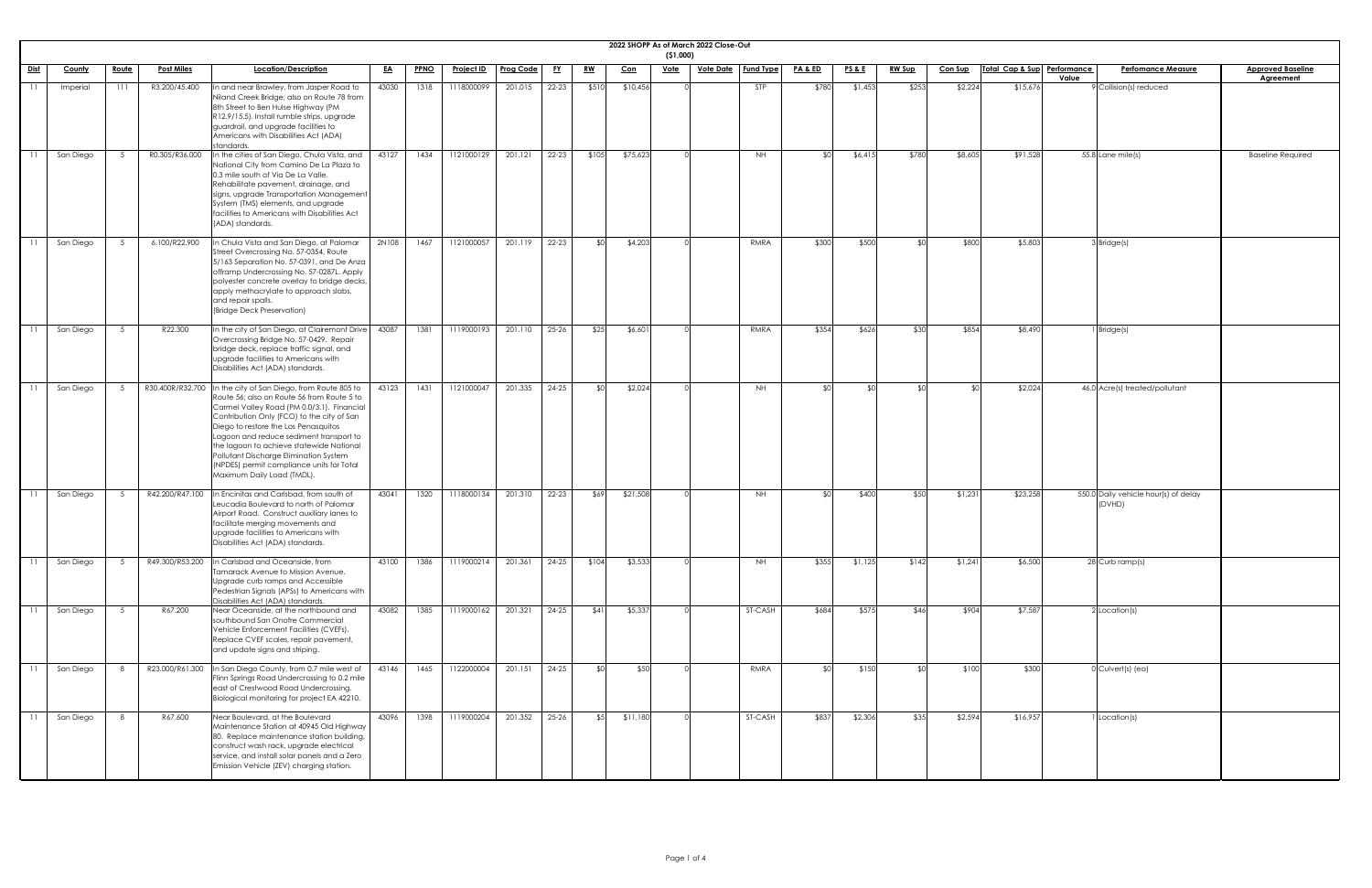| l Baseline<br>·ment |  |
|---------------------|--|
|                     |  |
|                     |  |
|                     |  |
|                     |  |
| <b>Required</b>     |  |
|                     |  |
|                     |  |
|                     |  |
|                     |  |
|                     |  |
|                     |  |
|                     |  |
|                     |  |
|                     |  |
|                     |  |
|                     |  |
|                     |  |
|                     |  |
|                     |  |
|                     |  |
|                     |  |
|                     |  |
|                     |  |
|                     |  |
|                     |  |
|                     |  |
|                     |  |
|                     |  |
|                     |  |
|                     |  |
|                     |  |
|                     |  |
|                     |  |
|                     |  |
|                     |  |
|                     |  |
|                     |  |
|                     |  |
|                     |  |
|                     |  |
|                     |  |
|                     |  |
|                     |  |
|                     |  |

|             |           |       |                   |                                                                                                                                                                                                                                                                                                                                                                                                                                                            |           |             |                   |                  |           |           |            | ( \$1,000)  | 2022 SHOPP As of March 2022 Close-Out |                  |                    |                 |               |                |                             |                                                |                          |
|-------------|-----------|-------|-------------------|------------------------------------------------------------------------------------------------------------------------------------------------------------------------------------------------------------------------------------------------------------------------------------------------------------------------------------------------------------------------------------------------------------------------------------------------------------|-----------|-------------|-------------------|------------------|-----------|-----------|------------|-------------|---------------------------------------|------------------|--------------------|-----------------|---------------|----------------|-----------------------------|------------------------------------------------|--------------------------|
| <u>Dist</u> | County    | Route | <b>Post Miles</b> | <b>Location/Description</b>                                                                                                                                                                                                                                                                                                                                                                                                                                | <u>EA</u> | <b>PPNO</b> | <u>Project ID</u> | <b>Prog Code</b> | <u>FY</u> | <u>RW</u> | <u>Con</u> | <u>Vote</u> | <u>Vote Date</u>                      | <b>Fund Type</b> | <b>PA &amp; ED</b> | <u>PS&amp;E</u> | <b>RW Sup</b> | <b>Con Sup</b> | Total Cap & Sup Performance | <b>Perfomance Measure</b><br>Value             | <b>Approved Baseline</b> |
|             | Imperial  | 111   | R3.200/45.400     | In and near Brawley, from Jasper Road to<br>Niland Creek Bridge; also on Route 78 from<br>8th Street to Ben Hulse Highway (PM<br>R12.9/15.5). Install rumble strips, upgrade<br>guardrail, and upgrade facilities to<br>Americans with Disabilities Act (ADA)<br>standards.                                                                                                                                                                                | 43030     | 1318        | 1118000099        | 201.015          | $22 - 23$ | \$510     | \$10,456   |             |                                       | <b>STP</b>       | \$780              | \$1,453         | \$253         | \$2,224        | \$15,676                    | Collision(s) reduced                           | <b>Agreement</b>         |
|             | San Diego |       | R0.305/R36.000    | In the cities of San Diego, Chula Vista, and<br>National City from Camino De La Plaza to<br>0.3 mile south of Via De La Valle.<br>Rehabilitate pavement, drainage, and<br>signs, upgrade Transportation Management<br>System (TMS) elements, and upgrade<br>facilities to Americans with Disabilities Act<br>(ADA) standards.                                                                                                                              | 43127     | 1434        | 1121000129        | 201.121          | $22 - 23$ | \$105     | \$75,623   |             |                                       | NH I             |                    | \$6,415         | \$780         | \$8,605        | \$91,528                    | 55.8 Lane mile(s)                              | <b>Baseline Required</b> |
|             | San Diego |       | 6.100/R22.900     | In Chula Vista and San Diego, at Palomar<br>Street Overcrossing No. 57-0354, Route<br>5/163 Separation No. 57-0391, and De Anza<br>offramp Undercrossing No. 57-0287L. Apply<br>polyester concrete overlay to bridge decks,<br>apply methacrylate to approach slabs,<br>and repair spalls.<br>(Bridge Deck Preservation)                                                                                                                                   | 2N108     | 1467        | 1121000057        | 201.119          | 22-23     | ያ የ       | \$4,203    |             |                                       | RMRA             | \$300              | \$500           | ו∩≯           | \$800          | \$5,803                     | 3Bridge(s)                                     |                          |
|             | San Diego |       | R22.300           | In the city of San Diego, at Clairemont Drive<br>Overcrossing Bridge No. 57-0429. Repair<br>bridge deck, replace traffic signal, and<br>upgrade facilities to Americans with<br>Disabilities Act (ADA) standards.                                                                                                                                                                                                                                          | 43087     | 1381        | 1119000193        | 201.110          | $25 - 26$ | \$25      | \$6,601    |             |                                       | RMRA             | \$354              | \$626           | \$30          | \$854          | \$8,490                     | Bridge(s)                                      |                          |
|             | San Diego |       |                   | R30.400R/R32.700 In the city of San Diego, from Route 805 to<br>Route 56; also on Route 56 from Route 5 to<br>Carmel Valley Road (PM 0.0/3.1). Financial<br>Contribution Only (FCO) to the city of San<br>Diego to restore the Los Penasquitos<br>Lagoon and reduce sediment transport to<br>the lagoon to achieve statewide National<br>Pollutant Discharge Elimination System<br>(NPDES) permit compliance units for Total<br>Maximum Daily Load (TMDL). | 43123     | 1431        | 1121000047        | 201.335          | $24 - 25$ | \$0       | \$2,024    |             |                                       | <b>NH</b>        | <b>SO</b>          | SO <sub>1</sub> | .  የበ         |                | \$2,024                     | 46.0 Acre(s) treated/pollutant                 |                          |
|             | San Diego |       | R42.200/R47.100   | In Encinitas and Carlsbad, from south of<br>Leucadia Boulevard to north of Palomar<br>Airport Road. Construct auxiliary lanes to<br>facilitate merging movements and<br>upgrade facilities to Americans with<br>Disabilities Act (ADA) standards.                                                                                                                                                                                                          | 43041     | 1320        | 1118000134        | 201.310          | 22-23     | \$69      | \$21,508   |             |                                       | NH.              | <b>SO</b>          | \$400           | \$50          | \$1,231        | \$23,258                    | 550.0 Daily vehicle hour(s) of delay<br>(DVHD) |                          |
|             | San Diego |       | R49.300/R53.200   | In Carlsbad and Oceanside, from<br>Tamarack Avenue to Mission Avenue.<br>Upgrade curb ramps and Accessible<br>Pedestrian Signals (APSs) to Americans with<br>Disabilities Act (ADA) standards.                                                                                                                                                                                                                                                             | 43100     | 1386        | 1119000214        | 201.361          | $24 - 25$ | \$104     | \$3,533    |             |                                       | NH I             | \$355              | \$1,125         | \$142         | \$1,241        | \$6,500                     | 28 Curb ramp(s)                                |                          |
|             | San Diego |       | R67.200           | Near Oceanside, at the northbound and<br>southbound San Onofre Commercial<br>Vehicle Enforcement Facilities (CVEFs).<br>Replace CVEF scales, repair pavement,<br>and update signs and striping.                                                                                                                                                                                                                                                            | 43082     | 1385        | 1119000162        | 201.321          | $24 - 25$ | \$41      | \$5,337    |             |                                       | ST-CASH          | \$684              | \$575           | \$46          | \$904          | \$7,587                     | Location(s)                                    |                          |
|             | San Diego |       | R23.000/R61.300   | In San Diego County, from 0.7 mile west of<br>Flinn Springs Road Undercrossing to 0.2 mile<br>east of Crestwood Road Undercrossing.<br>Biological monitoring for project EA 42210.                                                                                                                                                                                                                                                                         | 43146     | 1465        | 1122000004        | 201.151          | $24 - 25$ | SO        | \$50       |             |                                       | RMRA             | \$0                | \$150           | ו∩≯           | \$100          | \$300                       | 0 Culvert(s) (ea)                              |                          |
|             | San Diego | 8     | R67.600           | Near Boulevard, at the Boulevard<br>Maintenance Station at 40945 Old Highway<br>80. Replace maintenance station building,<br>construct wash rack, upgrade electrical<br>service, and install solar panels and a Zero<br>Emission Vehicle (ZEV) charging station.                                                                                                                                                                                           | 43096     | 1398        | 1119000204        | 201.352          | $25 - 26$ | \$5       | \$11,180   |             |                                       | ST-CASH          | \$837              | \$2,306         | \$35          | \$2,594        | \$16,957                    | Location(s)                                    |                          |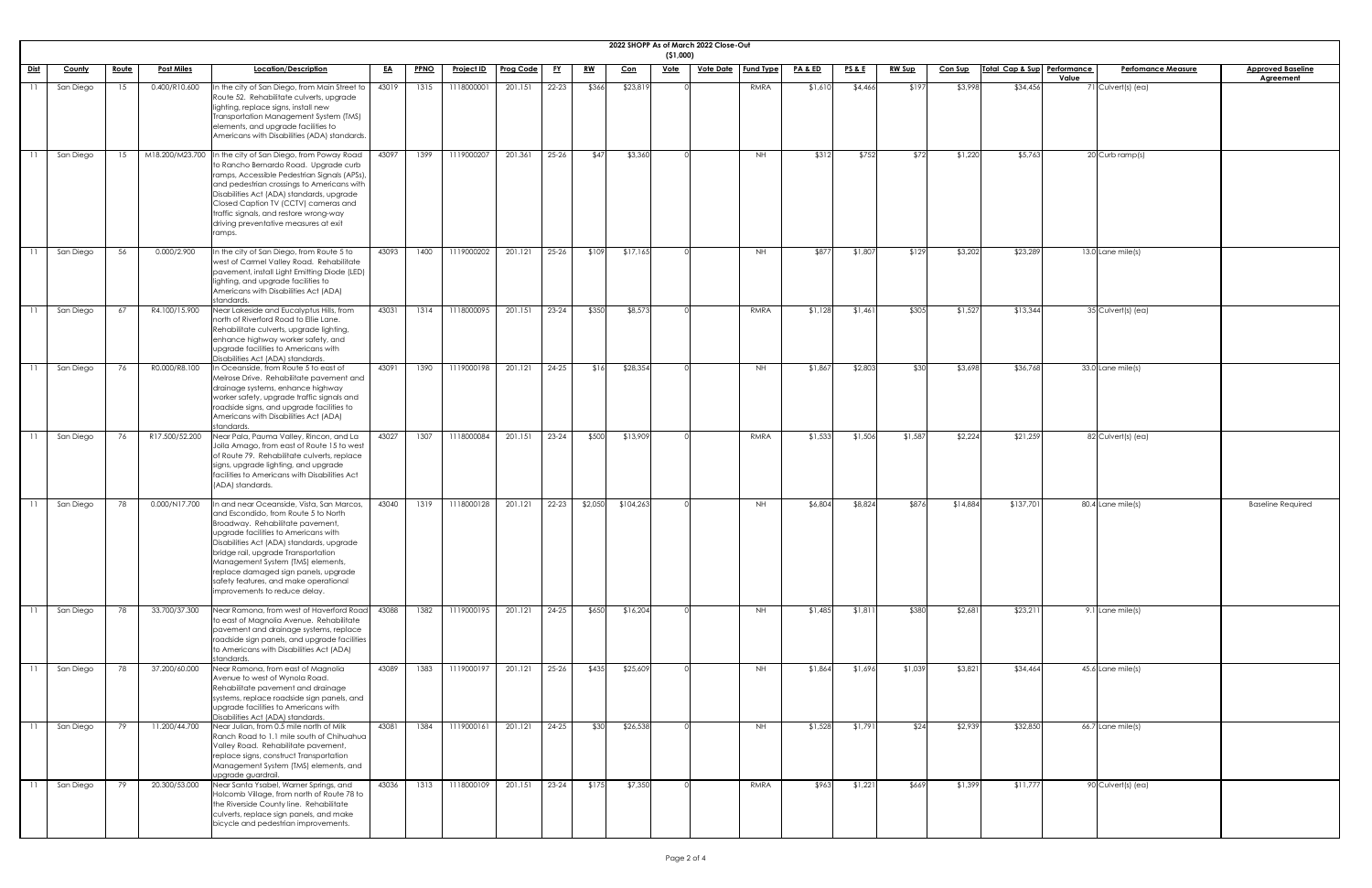|                 |                |              |                   |                                                                                                                                                                                                                                                                                                                                                                                                          |           |             |                                                   |                  |           |           |            | ( \$1,000) | 2022 SHOPP As of March 2022 Close-Out |                  |                    |                 |               |                |                             |                                    |                                              |
|-----------------|----------------|--------------|-------------------|----------------------------------------------------------------------------------------------------------------------------------------------------------------------------------------------------------------------------------------------------------------------------------------------------------------------------------------------------------------------------------------------------------|-----------|-------------|---------------------------------------------------|------------------|-----------|-----------|------------|------------|---------------------------------------|------------------|--------------------|-----------------|---------------|----------------|-----------------------------|------------------------------------|----------------------------------------------|
| Dist            | County         | <u>Route</u> | <b>Post Miles</b> | Location/Description                                                                                                                                                                                                                                                                                                                                                                                     | <u>EA</u> | <b>PPNO</b> | <u>Project ID</u>                                 | <b>Prog Code</b> | <u>FY</u> | <u>RW</u> | <u>Con</u> | Vote       | <u>Vote Date</u>                      | <b>Fund Type</b> | <u>PA &amp; ED</u> | <u>PS&amp;E</u> | <b>RW Sup</b> | <b>Con Sup</b> | Total Cap & Sup Performance | <b>Perfomance Measure</b><br>Value | <b>Approved Baseline</b><br><b>Agreement</b> |
| $\overline{11}$ | San Diego      | 15           | 0.400/R10.600     | In the city of San Diego, from Main Street to<br>Route 52. Rehabilitate culverts, upgrade<br>lighting, replace signs, install new<br>Transportation Management System (TMS)<br>elements, and upgrade facilities to<br>Americans with Disabilities (ADA) standards.                                                                                                                                       | 43019     | 1315        | 1118000001                                        | 201.151          | $22 - 23$ | \$366     | \$23,819   |            |                                       | RMRA             | \$1,610            | \$4,466         | \$197         | \$3,998        | \$34,456                    | 71 Culvert(s) (ea)                 |                                              |
| $\overline{11}$ | San Diego      | 15           |                   | M18.200/M23.700 In the city of San Diego, from Poway Road<br>to Rancho Bernardo Road. Upgrade curb<br>ramps, Accessible Pedestrian Signals (APSs).<br>and pedestrian crossings to Americans with<br>Disabilities Act (ADA) standards, upgrade<br>Closed Caption TV (CCTV) cameras and<br>traffic signals, and restore wrong-way<br>driving preventative measures at exit<br>ramps.                       | 43097     | 1399        | 1119000207                                        | 201.361          | $25 - 26$ | \$47      | \$3,360    |            |                                       | NH               | \$312              | \$752           | \$72          | \$1,220        | \$5,763                     | 20 Curb ramp(s)                    |                                              |
|                 | San Diego      | 56           | 0.000/2.900       | In the city of San Diego, from Route 5 to<br>west of Carmel Valley Road. Rehabilitate<br>pavement, install Light Emitting Diode (LED)<br>lighting, and upgrade facilities to<br>Americans with Disabilities Act (ADA)<br>standards.                                                                                                                                                                      | 43093     | 1400        | 1119000202                                        | 201.121          | $25 - 26$ | \$109     | \$17,165   |            |                                       | <b>NH</b>        | \$877              | \$1,807         | \$129         | \$3,202        | \$23,289                    | $13.0$ Lane mile(s)                |                                              |
| $\overline{11}$ | San Diego      | 67           | R4.100/15.900     | Near Lakeside and Eucalyptus Hills, from<br>north of Riverford Road to Ellie Lane.<br>Rehabilitate culverts, upgrade lighting,<br>enhance highway worker safety, and<br>upgrade facilities to Americans with<br>Disabilities Act (ADA) standards.                                                                                                                                                        | 43031     | 1314        | 1118000095                                        | 201.151          | $23 - 24$ | \$350     | \$8,573    |            |                                       | RMRA             | \$1,128            | \$1,461         | \$305         | \$1,527        | \$13,344                    | 35 Culvert(s) (ea)                 |                                              |
|                 | 11   San Diego |              | 76 RO.000/R8.100  | In Oceanside, from Route 5 to east of<br>Melrose Drive. Rehabilitate pavement and<br>drainage systems, enhance highway<br>worker safety, upgrade traffic signals and<br>roadside signs, and upgrade facilities to<br>Americans with Disabilities Act (ADA)<br>standards.                                                                                                                                 |           |             | 43091 1390 1119000198 201.121 24-25 \$16 \$28,354 |                  |           |           |            |            |                                       | NH               | \$1,867            | \$2,803         | \$30          | \$3,698        | \$36,768                    | 33.0 Lane mile(s)                  |                                              |
| $\overline{11}$ | San Diego      | 76           | R17.500/52.200    | Near Pala, Pauma Valley, Rincon, and La<br>Jolla Amago, from east of Route 15 to west<br>of Route 79. Rehabilitate culverts, replace<br>signs, upgrade lighting, and upgrade<br>facilities to Americans with Disabilities Act<br>(ADA) standards.                                                                                                                                                        | 43027     | 1307        | 1118000084                                        | 201.151          | $23 - 24$ | \$500     | \$13,909   |            |                                       | RMRA             | \$1,533            | \$1,506         | \$1,587       | \$2,224        | \$21,259                    | 82 Culvert(s) (ea)                 |                                              |
|                 | San Diego      | 78           | 0.000/N17.700     | In and near Oceanside, Vista, San Marcos,<br>and Escondido, from Route 5 to North<br>Broadway. Rehabilitate pavement,<br>upgrade facilities to Americans with<br>Disabilities Act (ADA) standards, upgrade<br>bridge rail, upgrade Transportation<br>Management System (TMS) elements,<br>replace damaged sign panels, upgrade<br>safety features, and make operational<br>improvements to reduce delay. | 43040     | 1319        | 1118000128                                        | 201.121          | $22-23$   | \$2,050   | \$104,263  |            |                                       | <b>NH</b>        | \$6,804            | \$8,824         | \$876         | \$14,884       | \$137,701                   | 80.4 Lane mile(s)                  | <b>Baseline Required</b>                     |
|                 | San Diego      | 78           | 33.700/37.300     | Near Ramona, from west of Haverford Road<br>to east of Magnolia Avenue. Rehabilitate<br>pavement and drainage systems, replace<br>roadside sign panels, and upgrade facilities<br>to Americans with Disabilities Act (ADA)<br>standards.                                                                                                                                                                 | 43088     | 1382        | 1119000195                                        | 201.121          | $24-25$   | \$650     | \$16,204   |            |                                       | <b>NH</b>        | \$1,485            | \$1,811         | \$380         | \$2,681        | \$23,21                     | 9.1 Lane mile(s)                   |                                              |
|                 | San Diego      | 78           | 37.200/60.000     | Near Ramona, from east of Magnolia<br>Avenue to west of Wynola Road.<br>Rehabilitate pavement and drainage<br>systems, replace roadside sign panels, and<br>upgrade facilities to Americans with<br>Disabilities Act (ADA) standards.                                                                                                                                                                    | 43089     | 1383        | 1119000197                                        | 201.121          | $25 - 26$ | \$435     | \$25,609   |            |                                       | <b>NH</b>        | \$1,864            | \$1,696         | \$1,039       | \$3,821        | \$34,464                    | $45.6$ Lane mile(s)                |                                              |
| $\overline{11}$ | San Diego      | 79           | 11.200/44.700     | Near Julian, from 0.5 mile north of Milk<br>Ranch Road to 1.1 mile south of Chihuahua<br>Valley Road. Rehabilitate pavement,<br>replace signs, construct Transportation<br>Management System (TMS) elements, and<br>upgrade guardrail.                                                                                                                                                                   | 43081     | 1384        | 1119000161                                        | 201.121          | $24 - 25$ | \$30      | \$26,538   |            |                                       | <b>NH</b>        | \$1,528            | \$1,791         | \$24          | \$2,939        | \$32,850                    | $66.7$ Lane mile(s)                |                                              |
|                 | San Diego      | 79           | 20.300/53.000     | Near Santa Ysabel, Warner Springs, and<br>Holcomb Village, from north of Route 78 to<br>the Riverside County line. Rehabilitate<br>culverts, replace sign panels, and make<br>bicycle and pedestrian improvements.                                                                                                                                                                                       | 43036     | 1313        | 1118000109                                        | 201.151          | $23 - 24$ | \$175     | \$7,350    |            |                                       | RMRA             | \$963              | \$1,221         | \$669         | \$1,399        | \$11,777                    | 90 Culvert(s) (ea)                 |                                              |

| <u>ine</u> |
|------------|
|            |
|            |
|            |
|            |
|            |
|            |
|            |
|            |
|            |
|            |
|            |
|            |
|            |
|            |
|            |
|            |
|            |
|            |
|            |
|            |
| ed         |
|            |
|            |
|            |
|            |
|            |
|            |
|            |
|            |
|            |
|            |
|            |
|            |
|            |
|            |
|            |
|            |
|            |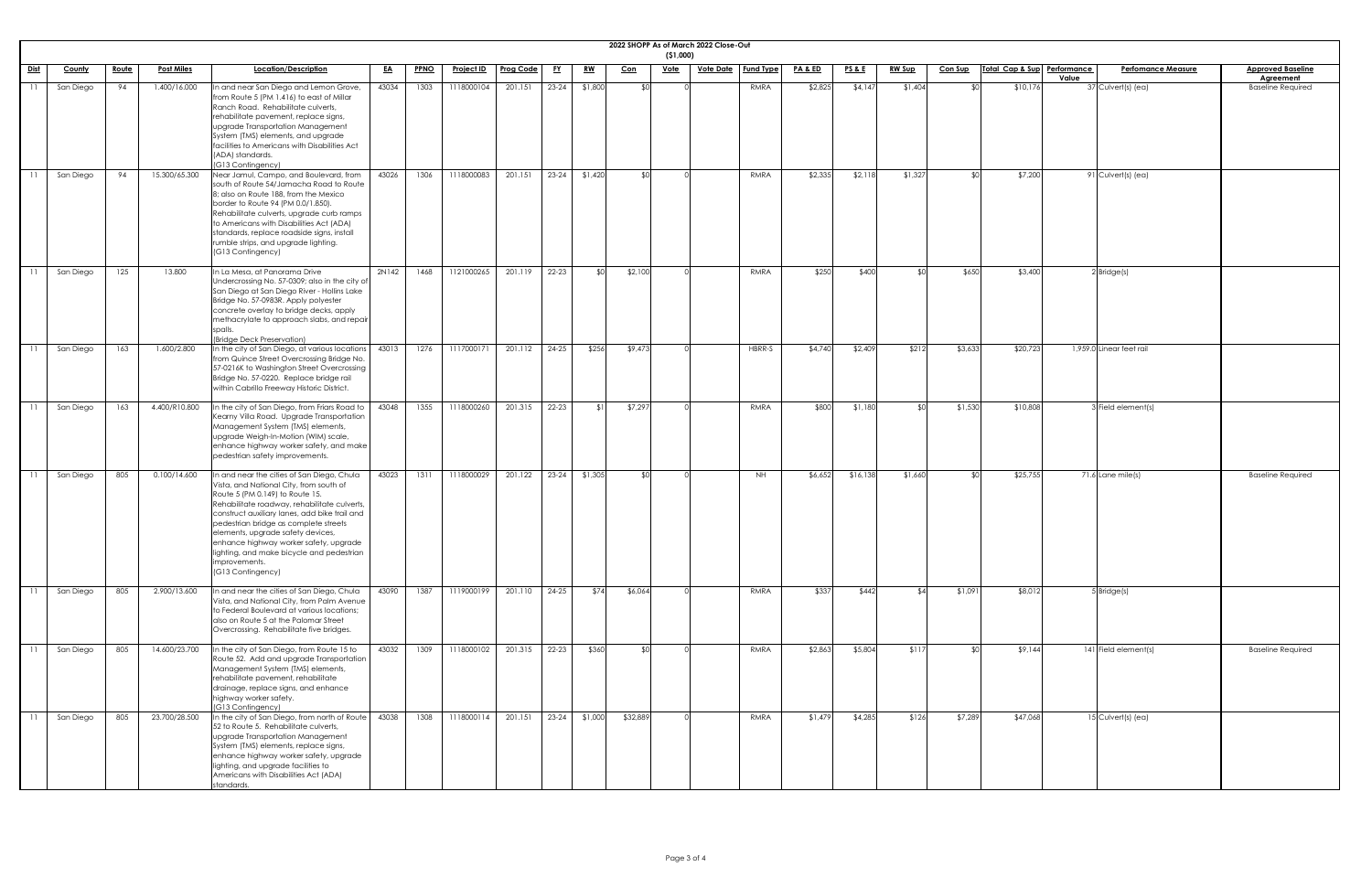|             |               |              |                   |                                                                                                                                                                                                                                                                                                                                                                                                                                      |           |             |                   |                  |           |           |            | (51,000)    | 2022 SHOPP As of March 2022 Close-Out |             |                    |                 |               |                |                             |       |                                 |                                              |
|-------------|---------------|--------------|-------------------|--------------------------------------------------------------------------------------------------------------------------------------------------------------------------------------------------------------------------------------------------------------------------------------------------------------------------------------------------------------------------------------------------------------------------------------|-----------|-------------|-------------------|------------------|-----------|-----------|------------|-------------|---------------------------------------|-------------|--------------------|-----------------|---------------|----------------|-----------------------------|-------|---------------------------------|----------------------------------------------|
| <u>Dist</u> | <b>County</b> | <u>Route</u> | <b>Post Miles</b> | Location/Description                                                                                                                                                                                                                                                                                                                                                                                                                 | <u>EA</u> | <b>PPNO</b> | <u>Project ID</u> | <b>Prog Code</b> | <u>FY</u> | <u>RW</u> | <u>Con</u> | <b>Vote</b> | <u>Vote Date</u>   Fund Type          |             | <u>PA &amp; ED</u> | <u>PS&amp;E</u> | <u>RW Sup</u> | <b>Con Sup</b> | Total Cap & Sup Performance | Value | <b>Perfomance Measure</b>       | <b>Approved Baseline</b><br><b>Agreement</b> |
|             | San Diego     | 94           | 1.400/16.000      | In and near San Diego and Lemon Grove,<br>from Route 5 (PM 1.416) to east of Millar<br>Ranch Road. Rehabilitate culverts,<br>rehabilitate pavement, replace signs,<br>upgrade Transportation Management<br>System (TMS) elements, and upgrade<br>facilities to Americans with Disabilities Act<br>(ADA) standards.<br>(G13 Contingency)                                                                                              | 43034     | 1303        | 1118000104        | 201.151          | $23 - 24$ | \$1,800   |            |             |                                       | RMRA        | \$2,825            | \$4,147         | \$1,404       | ¶∩\$           | \$10,176                    |       | $\overline{37}$ Culvert(s) (ea) | <b>Baseline Required</b>                     |
|             | San Diego     | 94           | 15.300/65.300     | Near Jamul, Campo, and Boulevard, from<br>south of Route 54/Jamacha Road to Route<br>8; also on Route 188, from the Mexico<br>border to Route 94 (PM 0.0/1.850).<br>Rehabilitate culverts, upgrade curb ramps<br>to Americans with Disabilities Act (ADA)<br>standards, replace roadside signs, install<br>rumble strips, and upgrade lighting.<br>(G13 Contingency)                                                                 | 43026     | 1306        | 1118000083        | 201.151          | $23 - 24$ | \$1,420   |            |             |                                       | RMRA        | \$2,335            | \$2,118         | \$1,327       | \$∩            | \$7,200                     |       | 91 Culvert(s) (ea)              |                                              |
|             | San Diego     | 125          | 13.800            | In La Mesa, at Panorama Drive<br>Undercrossing No. 57-0309; also in the city of<br>San Diego at San Diego River - Hollins Lake<br>Bridge No. 57-0983R. Apply polyester<br>concrete overlay to bridge decks, apply<br>methacrylate to approach slabs, and repair<br>spalls.<br>(Bridge Deck Preservation)                                                                                                                             | 2N142     | 1468        | 1121000265        | 201.119          | 22-23     |           | \$2,100    |             |                                       | RMRA        | \$250              | \$400           |               | \$650          | \$3,400                     |       | $2$ Bridge(s)                   |                                              |
|             | San Diego     | 163          | 1.600/2.800       | In the city of San Diego, at various locations<br>from Quince Street Overcrossing Bridge No.<br>57-0216K to Washington Street Overcrossing<br>Bridge No. 57-0220. Replace bridge rail<br>within Cabrillo Freeway Historic District.                                                                                                                                                                                                  | 43013     | 1276        | 1117000171        | 201.112          | 24-25     | \$256     | \$9,473    |             |                                       | HBRR-S      | \$4,740            | \$2,409         | \$212         | \$3,633        | \$20,723                    |       | 1,959.0 Linear feet rail        |                                              |
|             | San Diego     | 163          | 4.400/R10.800     | In the city of San Diego, from Friars Road to<br>Kearny Villa Road. Upgrade Transportation<br>Management System (TMS) elements,<br>upgrade Weigh-In-Motion (WIM) scale,<br>enhance highway worker safety, and make<br>pedestrian safety improvements.                                                                                                                                                                                | 43048     | 1355        | 1118000260        | 201.315          | 22-23     |           | \$7,297    |             |                                       | RMRA        | \$800              | \$1,180         | \$∩           | \$1,530        | \$10,808                    |       | 3 Field element(s)              |                                              |
|             | San Diego     | 805          | 0.100/14.600      | In and near the cities of San Diego, Chula<br>Vista, and National City, from south of<br>Route 5 (PM 0.149) to Route 15.<br>Rehabilitate roadway, rehabilitate culverts,<br>construct auxiliary lanes, add bike trail and<br>pedestrian bridge as complete streets<br>elements, upgrade safety devices,<br>enhance highway worker safety, upgrade<br>lighting, and make bicycle and pedestrian<br>improvements.<br>(G13 Contingency) | 43023     | 1311        | 1118000029        | 201.122          | $23-24$   | \$1,305   |            |             |                                       | NH          | \$6,652            | \$16,138        | \$1,660       | ¶∩\$           | \$25,755                    |       | 71.6 Lane mile(s)               | <b>Baseline Required</b>                     |
|             | San Diego     | 805          | 2.900/13.600      | In and near the cities of San Diego, Chula<br>Vista, and National City, from Palm Avenue<br>to Federal Boulevard at various locations;<br>also on Route 5 at the Palomar Street<br>Overcrossing. Rehabilitate five bridges.                                                                                                                                                                                                          | 43090     | 1387        | 1119000199        | 201.110          | $24 - 25$ | \$74      | \$6,064    |             |                                       | <b>RMRA</b> | \$337              | \$442           | ¢Λ            | \$1,091        | \$8,012                     |       | $5$ Bridge(s)                   |                                              |
|             | San Diego     | 805          | 14.600/23.700     | In the city of San Diego, from Route 15 to<br>Route 52. Add and upgrade Transportation<br>Management System (TMS) elements,<br>rehabilitate pavement, rehabilitate<br>drainage, replace signs, and enhance<br>highway worker safety.<br>(G13 Contingency)                                                                                                                                                                            | 43032     | 1309        | 1118000102        | 201.315          | $22 - 23$ | \$360     |            |             |                                       | RMRA        | \$2,863            | \$5,804         | \$117         | ו∩≯            | \$9,144                     |       | 141 Field element(s)            | <b>Baseline Required</b>                     |
|             | San Diego     | 805          | 23.700/28.500     | In the city of San Diego, from north of Route<br>52 to Route 5. Rehabilitate culverts,<br>upgrade Transportation Management<br>System (TMS) elements, replace signs,<br>enhance highway worker safety, upgrade<br>lighting, and upgrade facilities to<br>Americans with Disabilities Act (ADA)<br>standards.                                                                                                                         | 43038     | 1308        | 1118000114        | 201.151          | $23 - 24$ | \$1,000   | \$32,889   |             |                                       | RMRA        | \$1,479            | \$4,285         | \$126         | \$7,289        | \$47,068                    |       | 15 Culvert(s) (ea)              |                                              |

| $\overline{\phantom{a}}$ |
|--------------------------|
|                          |
|                          |
|                          |
|                          |
|                          |
|                          |
|                          |
|                          |
|                          |
|                          |
|                          |
|                          |
|                          |
|                          |
|                          |
|                          |
|                          |
|                          |
|                          |
|                          |
| ֚֘֝                      |
|                          |
|                          |
|                          |
|                          |
|                          |
|                          |
|                          |
|                          |
| ֚֘֝                      |
|                          |
|                          |
|                          |
|                          |
|                          |
|                          |
|                          |
|                          |
|                          |